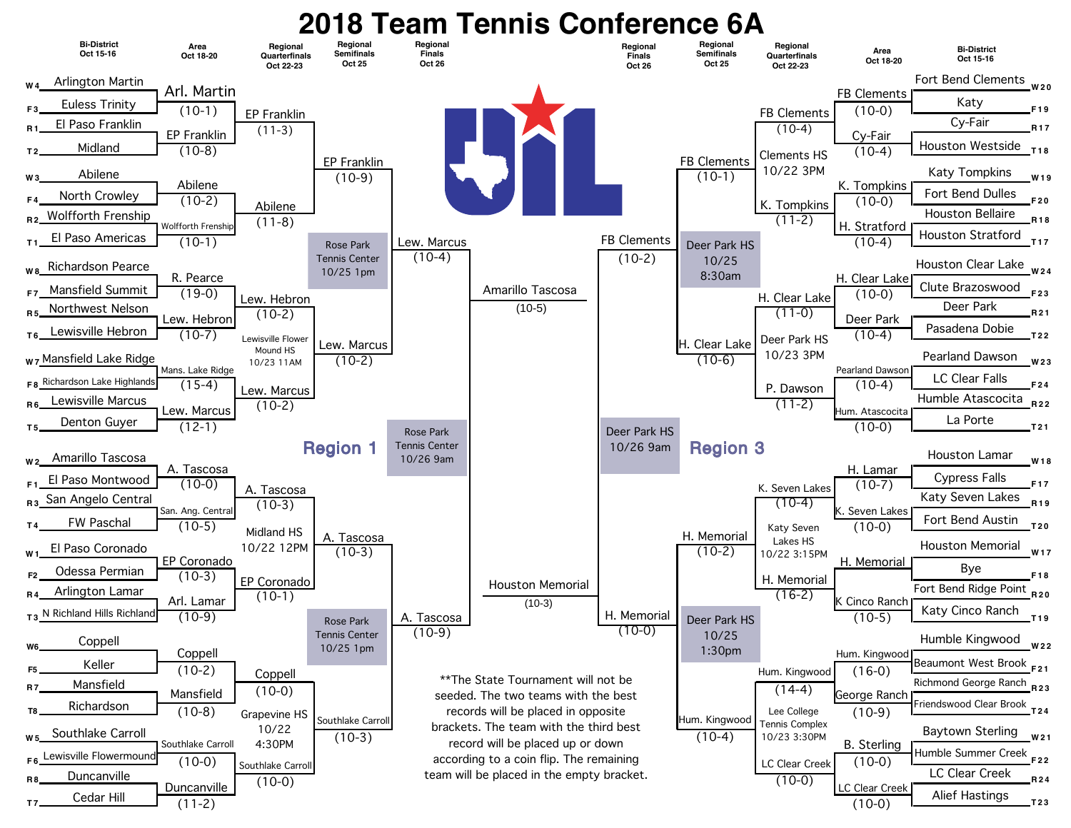## **2018 Team Tennis Conference 6A**<br>Bi-District **Regional** Regional Regional Regional